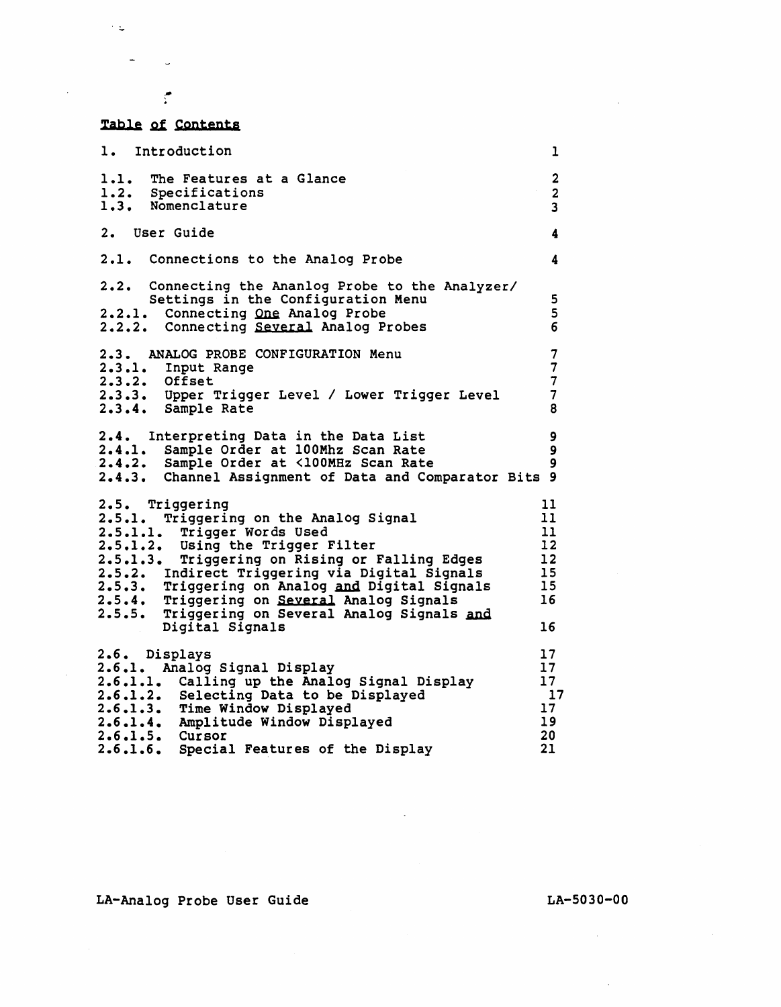## Table of Contents

.. .

 $\mathcal{F}(\mathbf{Q})$  .

 $\frac{1}{2}$  and  $\frac{1}{2}$ 

| 1. Introduction                                                                                                                                                                                                                                                                                                                                                                                           | ı                                                  |
|-----------------------------------------------------------------------------------------------------------------------------------------------------------------------------------------------------------------------------------------------------------------------------------------------------------------------------------------------------------------------------------------------------------|----------------------------------------------------|
| 1.1. The Features at a Glance<br>1.2. Specifications<br>1.3. Nomenclature                                                                                                                                                                                                                                                                                                                                 | $\overline{2}$<br>$\overline{\mathbf{2}}$<br>3     |
| <b>User Guide</b><br>2.                                                                                                                                                                                                                                                                                                                                                                                   | 4                                                  |
| 2.1. Connections to the Analog Probe                                                                                                                                                                                                                                                                                                                                                                      | 4                                                  |
| Connecting the Ananlog Probe to the Analyzer/<br>2.2.<br>Settings in the Configuration Menu<br>2.2.1. Connecting One Analog Probe<br>2.2.2. Connecting Several Analog Probes                                                                                                                                                                                                                              | 5<br>5<br>$6\overline{6}$                          |
| 2.3. ANALOG PROBE CONFIGURATION Menu<br>2.3.1. Input Range<br>2.3.2. Offset<br>2.3.3. Upper Trigger Level / Lower Trigger Level<br>2.3.4. Sample Rate                                                                                                                                                                                                                                                     | 7<br>$\overline{7}$<br>$\overline{7}$<br>7<br>8    |
| 2.4. Interpreting Data in the Data List<br>2.4.1. Sample Order at 100Mhz Scan Rate<br>2.4.2. Sample Order at <100MHz Scan Rate<br>2.4.3. Channel Assignment of Data and Comparator Bits 9                                                                                                                                                                                                                 | 9<br>9<br>9                                        |
| 2.5. Triggering<br>2.5.1. Triggering on the Analog Signal<br>2.5.1.1. Trigger Words Used<br>2.5.1.2. Using the Trigger Filter<br>2.5.1.3. Triggering on Rising or Falling Edges<br>2.5.2. Indirect Triggering via Digital Signals<br>2.5.3. Triggering on Analog and Digital Signals<br>2.5.4. Triggering on Several Analog Signals<br>2.5.5. Triggering on Several Analog Signals and<br>Digital Signals | 11<br>11<br>11<br>12<br>12<br>15<br>15<br>16<br>16 |
| 2.6. Displays<br>2.6.1. Analog Signal Display<br>2.6.1.1. Calling up the Analog Signal Display<br>2.6.1.2. Selecting Data to be Displayed<br>2.6.1.3. Time Window Displayed<br>2.6.1.4. Amplitude Window Displayed<br>$2.6.1.5.$ Cursor<br>Special Features of the Display<br>2.6.1.6.                                                                                                                    | 17<br>17<br>17<br>17<br>17<br>19<br>20<br>21       |

 $\bar{\mathcal{A}}$ 

LA-Analog Probe User Guide

 $\sim$ 

LA-5030-00

 $\sim 10^{11}$ 

 $\mathcal{L}_{\mathcal{A}}$ 

 $\sim 100$ 

 $\mathcal{L}^{\text{max}}_{\text{max}}$  and  $\mathcal{L}^{\text{max}}_{\text{max}}$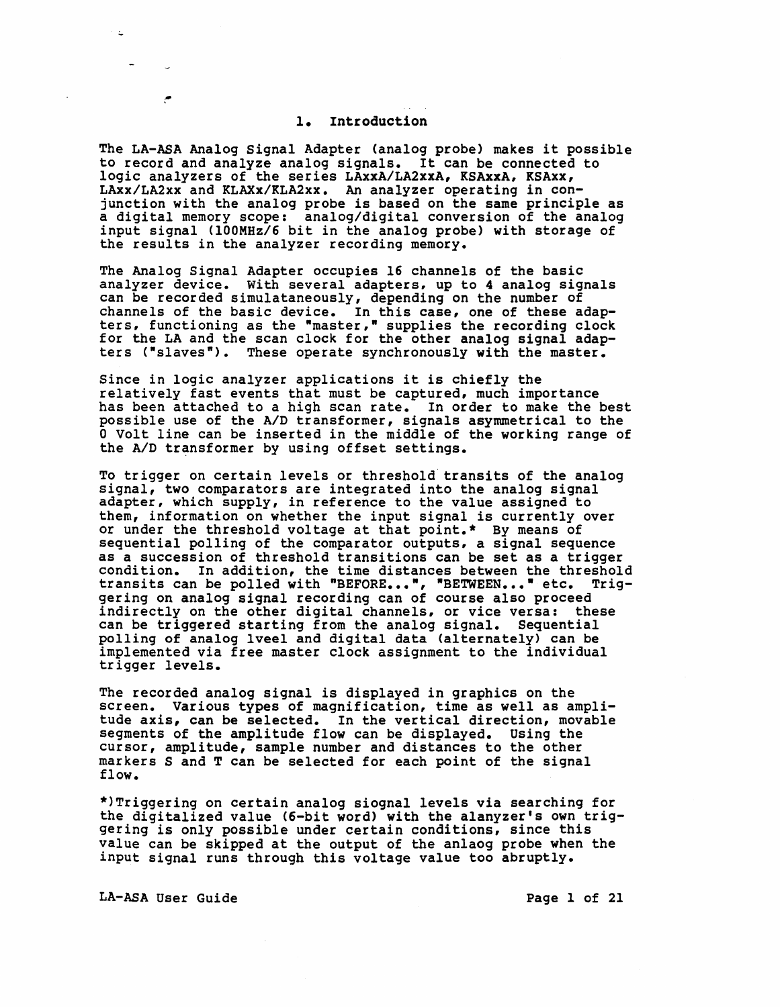#### 1. Introduction

The LA-ASA Analog Signal Adapter (analog probe) makes it possible to record and analyze analog signals. It can be connected to logic analyzers of the series LAxxA/LA2xxA, KSAxxA, KSAxx, LAxx/LA2xx and KLAXx/KLA2xx. An analyzer operating in conjunction with the analog probe is based on the same principle as a digital memory scope: analog/digital conversion of the analog input signal (lOOMHz/6 bit in the analog probe) with storage of the results in the analyzer recording memory.

The Analog Signal Adapter occupies 16 channels of the basic analyzer device. With several adapters, up to 4 analog signals can be recorded simulataneously, depending on the number of channels of the basic device. In this case, one of these adapters, functioning as the "master," supplies the recording clock for the LA and the scan clock for the other analog signal adapters ("slaves"). These operate synchronously with the master.

Since *in* logic analyzer applications it is chiefly the relatively fast events that must be captured, much importance has been attached to a high scan rate. In order to make the best possible use of the A/D transformer, signals asymmetrical to the o Volt line can be inserted in the middle of the working range of the A/D transformer by using offset settings.

To trigger on certain levels or threshold" transits of the analog signal, two comparators are integrated into the analog signal adapter, which supply, *in* reference to the value assigned to them, information on whether the input signal is currently over or under the threshold voltage at that point.\* By means of sequential polling of the comparator outputs, a signal sequence as a succession of threshold transitions can be set as a trigger condition. In addition, the time distances between the threshold condition. In addition, the time distances between the threshold<br>transits can be polled with "BEFORE...", "BETWEEN..." etc. Trig-<br>gering on analog signal recording can of course also proceed indirectly on the other digital channels, or vice versa: these can be triggered starting from the analog signal. Sequential polling of analog lveel and digital data (alternately) can be implemented via free master clock assignment to the individual trigger levels.

The recorded analog signal is displayed in graphics on the screen. Various types of magnification, time as well as amplitude axis, can be selected. In the vertical direction, movable segments of the amplitude flow can be displayed. Using the cursor, amplitude, sample number and distances to the other markers Sand T can be selected for each point of the signal flow.

\*)Triggering on certain analog siognal levels via searching for the digitalized value (6-bit word) with the alanyzer's own trig- gering is only possible under certain conditions, since this value can be skipped at the output of the anlaog probe when the input signal runs through this voltage value too abruptly.

LA-ASA User Guide **Page 1 of 21**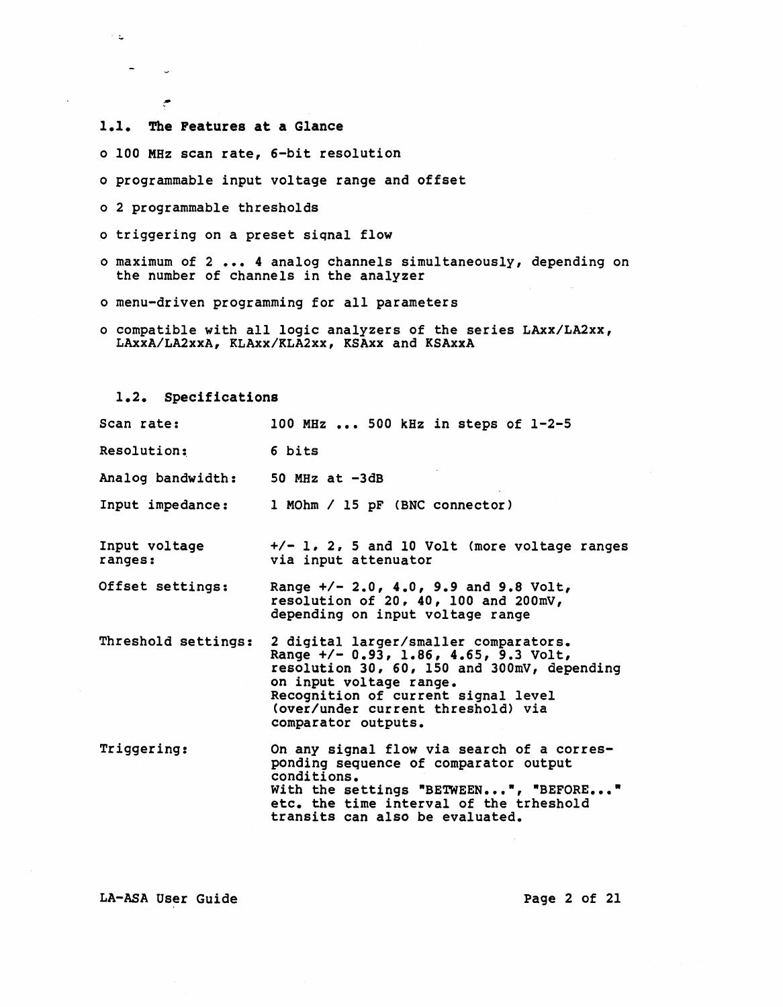1.1. The Features at a Glance

 $\sim$   $\zeta$ 

 $\frac{1}{2}$  and  $\frac{1}{2}$ 

م

- o 100 MHz scan rate, 6-bit resolution
- o programmable input voltage range and offset
- o 2 programmable thresholds
- o triggering on a preset siqnal flow
- o maximum of 2 ••• 4 analog channels simultaneously, depending on the number of channels in the analyzer
- o menu-driven programming for all parameters
- o compatible with all logic analyzers of the series LAxx/LA2xx, LAxxA/LA2xxA, KLAxx/KLA2xx, KSAxx and KSAxxA

1.2. Specifications

| Scan rate:               | 100 MHz  500 kHz in steps of $1-2-5$                                                                                                                                                                                                                            |
|--------------------------|-----------------------------------------------------------------------------------------------------------------------------------------------------------------------------------------------------------------------------------------------------------------|
| Resolution:              | 6 bits                                                                                                                                                                                                                                                          |
| Analog bandwidth:        | 50 MHz at $-3dB$                                                                                                                                                                                                                                                |
| Input impedance:         | 1 MOhm / 15 pF (BNC connector)                                                                                                                                                                                                                                  |
| Input voltage<br>ranges: | $+/- 1.2.5$ and 10 Volt (more voltage ranges<br>via input attenuator                                                                                                                                                                                            |
| Offset settings:         | Range +/- 2.0, 4.0, 9.9 and 9.8 Volt,<br>resolution of 20, 40, 100 and 200mV,<br>depending on input voltage range                                                                                                                                               |
| Threshold settings:      | 2 digital larger/smaller comparators.<br>Range $+/- 0.93$ , 1.86, 4.65, 9.3 Volt,<br>resolution 30, 60, 150 and 300mV, depending<br>on input voltage range.<br>Recognition of current signal level<br>(over/under current threshold) via<br>comparator outputs. |
| Triggering:              | On any signal flow via search of a corres-<br>ponding sequence of comparator output<br>conditions.<br>With the settings "BETWEEN", "BEFORE"<br>etc. the time interval of the trheshold<br>transits can also be evaluated.                                       |

LA-ASA User Guide

Page 2 of 21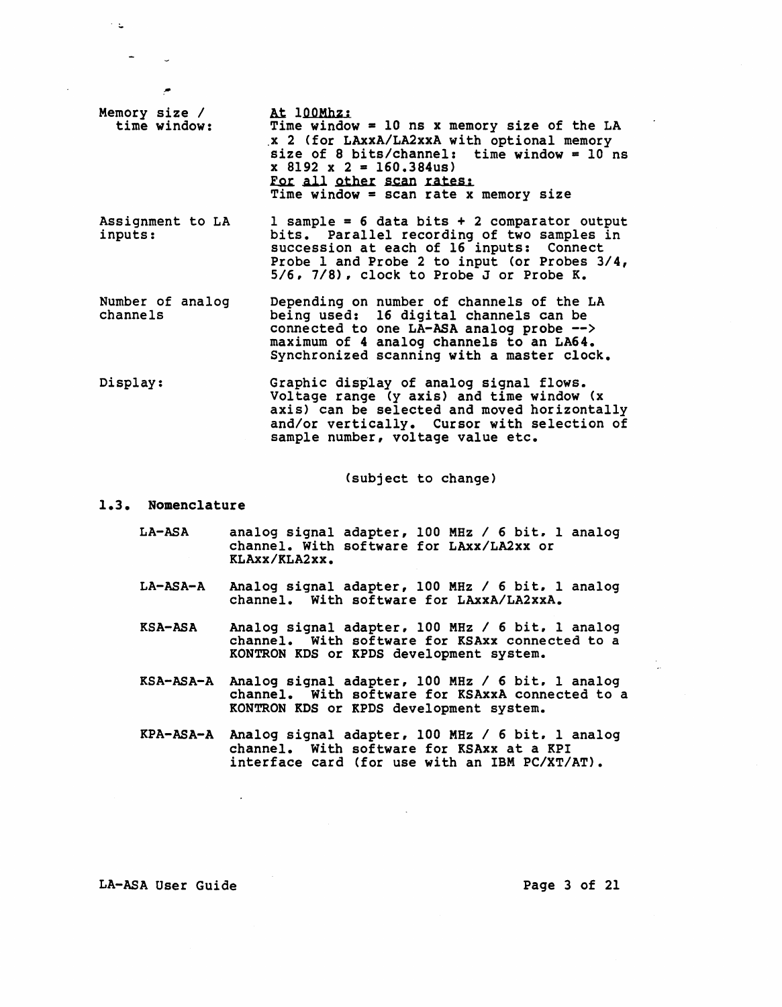- Memory size / time window: At 100Mhz: Time window =  $10$  ns x memory size of the LA .x 2 (for LAxxA/LA2xxA with optional memory size of 8 bits/channel: time window =  $10^{\circ}$  ns<br>x 8192 x 2 =  $160,384$ us) For all other scan rates: Time window = scan rate x memory size
- Assignment to LA inputs:  $1$  sample = 6 data bits + 2 comparator output bits. Parallel recording of two samples in succession at each of 16 inputs: Connect Probe 1 and Probe 2 to input (or Probes 3/4, 5/6. 7/8). clock to Probe J or Probe K.
- Number of analog channels Depending on number of channels of the LA being used: connected to maximum of 4 analog channels to an LA64. Synchronized scanning with a master clock. 16 digital channels can be one LA-ASA analog probe -->
- Display: Graphic display of analog Signal flows. Voltage range (y axis) and time window (x axis) can be selected and moved horizontally and/or vertically. Cursor with selection of sample number, voltage value etc.

(subject to change)

#### 1.3. Nomenclature

 $\sim$   $\in$ 

- LA-ASA analog signal adapter, 100 MHz / 6 bit. 1 analog channel. With software for LAxx/LA2xx or KLAxx/KLA2xx.
- LA-ASA-A Analog signal adapter, 100 MHz / 6 bit. 1 analog channel. With software for LAxxA/LA2xxA.
- KSA-ASA Analog signal adapter. 100 MHz / 6 bit. 1 analog channel. With software for KSAxx connected to a KONTRON KDS or KPDS development system.
- KSA-ASA-A Analog signal adapter, 100 MHz / 6 bit. 1 analog channel. With software for KSAxxA connected to a KONTRON KDS or KPDS development system.
- KPA-ASA-A Analog signal adapter, 100 MHz / 6 bit. 1 analog channel. With software for KSAxx at a KPI interface card (for use with an IBM PC/XT/AT).

LA-ASA User Guide **Page 3 of 21**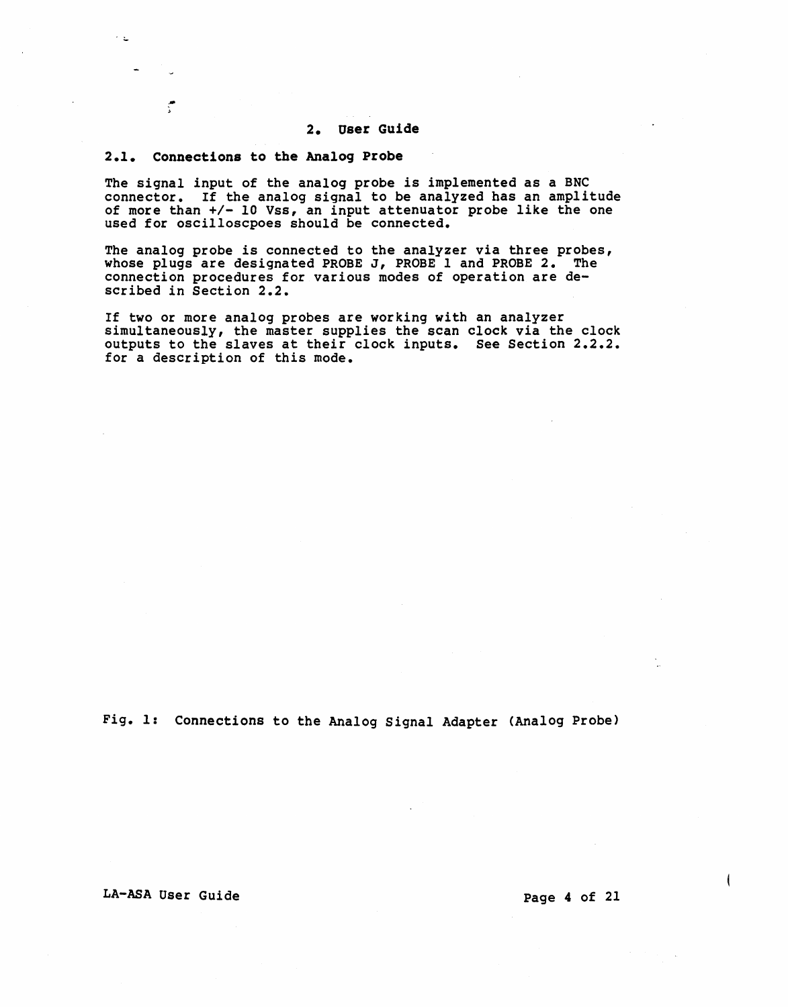#### 2. User Guide

#### 2.1. Connections to the Analog Probe

- >

 $\sim$   $\leq$ 

The signal input of the analog probe is implemented as a BNC connector. If the analog signal to be analyzed has an amplitude of more than +/- 10 Vss, an input attenuator probe like the one used for oscilloscpoes should be connected.

The analog probe is connected to the analyzer via three probes, whose plugs are designated PROBE J, PROBE 1 and PROBE 2. The connection procedures for various modes of operation are described in Section 2.2.

If two or more analog probes are working with an analyzer simultaneously, the master supplies the scan clock via the clock outputs to the slaves at their clock inputs. See Section 2.2.2. for a description of this mode.

Fig. 1: Connections to the Analog Signal Adapter (Analog Probe)

LA-ASA User Guide Page 4 of 21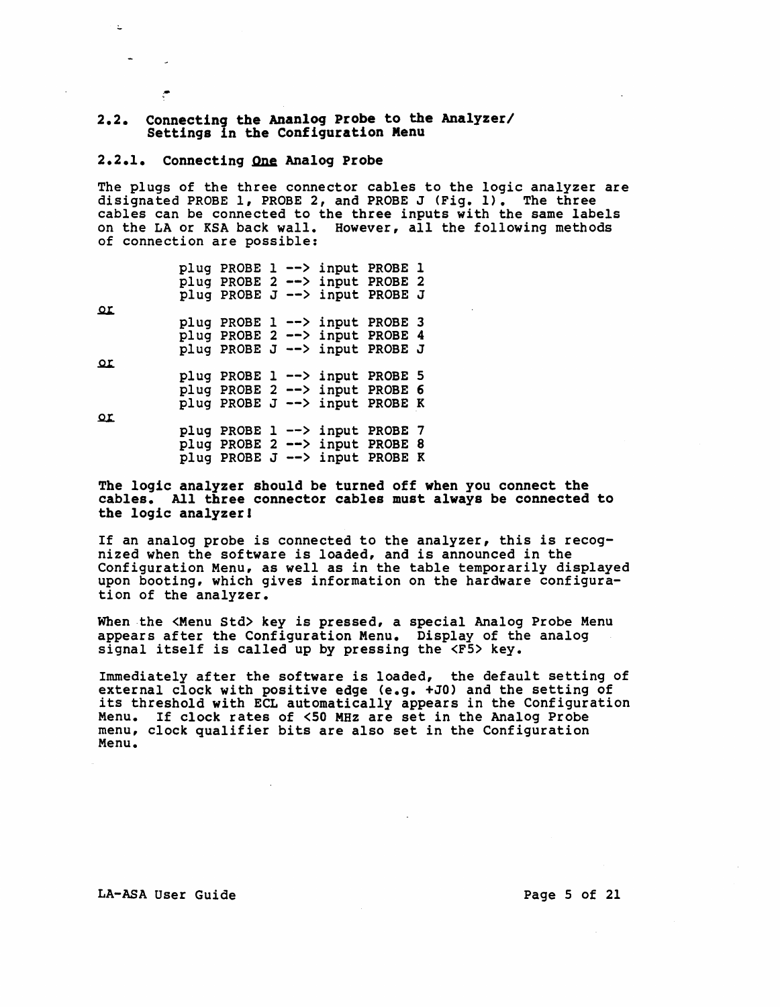# 2.2. Connecting the Ananlog Probe to the Analyzer/<br>Settings in the Configuration Menu

#### 2.2.1. Connecting One Analog Probe

.-

 $\mathbf{r}$ 

The plugs of the three connector cables to the logic analyzer are disignated PROBE 1, PROBE 2, and PROBE J (Fig. 1). The three cables can be connected to the three inputs with the same labels on the LA or KSA back wall. However, all the following methods of connection are possible:

|          |  |  | plug PROBE 1 --> input PROBE 1   |  |
|----------|--|--|----------------------------------|--|
|          |  |  | plug PROBE 2 --> input PROBE 2   |  |
|          |  |  | plug PROBE J --> input PROBE J   |  |
| Ωr       |  |  |                                  |  |
|          |  |  | plug PROBE 1 --> input PROBE 3   |  |
|          |  |  | plug PROBE 2 --> input PROBE 4   |  |
|          |  |  | plug PROBE J --> input PROBE J   |  |
| $\Omega$ |  |  |                                  |  |
|          |  |  | plug PROBE 1 --> input PROBE 5   |  |
|          |  |  | plug PROBE $2$ --> input PROBE 6 |  |
|          |  |  | plug PROBE J --> input PROBE K   |  |
| $\Omega$ |  |  |                                  |  |
|          |  |  | plug PROBE 1 --> input PROBE 7   |  |
|          |  |  | plug PROBE 2 --> input PROBE 8   |  |
|          |  |  | plug PROBE J --> input PROBE K   |  |

The logic analyzer should be turned off when you connect the cables. All three connector cables must always be connected to the logic analyzerl

If an analog probe is connected to the analyzer, this is recognized when the software is loaded, and is announced in the Configuration Menu, as well as in the table temporarily displayed upon booting. which gives information on the hardware configuration of the analyzer.

When the <Menu Std> key is pressed, a special Analog Probe Menu<br>appears after the Configuration Menu. Display of the analog signal itself is called up by pressing the <F5> key.

Immediately after the software *is* loaded, the default setting of external clock with positive edge (e.g. +JO) and the setting of external clock with positive edge very. Thus and the setting of<br>its threshold with ECL automatically appears in the Configuration Menu. If clock rates of <50 MHz are set *in* the Analog Probe menu, clock qualifier bits are also set in the Configuration Menu.

LA-ASA User Guide **Page 5 of 21**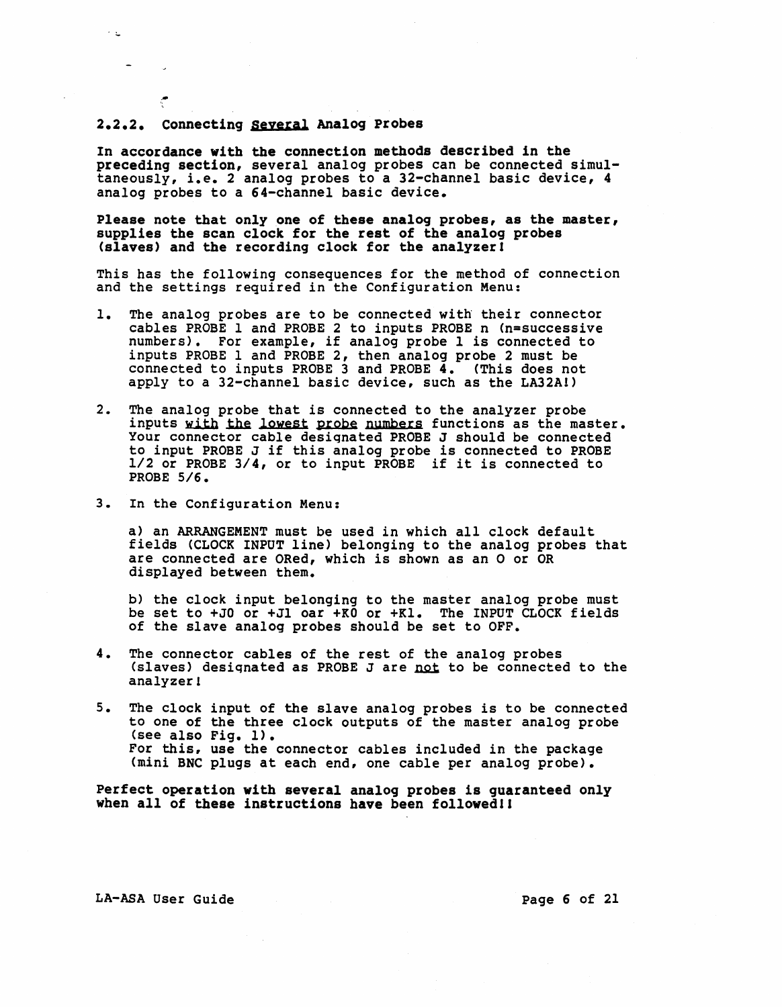#### 2.2.2. Connecting seyeral Analog probes

.-

 $\sim$   $\pm$ 

In accordance with the connection methods described in the preceding section, several analog probes can be connected simultaneously, i.e. 2 analog probes to a 32-channel basic device, 4 analog probes to a 64-channel basic device.

Please note that only one of these analog probes, as the master, supplies the scan clock for the rest of the analog probes (slaves) and the recording clock for the analyzerl

This has the following consequences for the method of connection and the settings required in the Configuration Menu:

- *1.* The analog probes are to be connected with their connector cables PROBE 1 and PROBE 2 to inputs PROBE n (n=successive numbers). For example, if analog probe 1 is connected to inputs PROBE *1* and PROBE 2, then analog probe 2 must be connected to inputs PROBE 3 and PROBE 4. (This does not apply to a 32-channel basic device, such as the LA32A!)
- 2. The analog probe that is connected to the analyzer probe inputs with the lowest probe numbers functions as the master. Your connector cable desiqnated PROBE J should be connected to input PROBE J if this analog probe is connected to PROBE 1/2 or PROBE 3/4, or to input PROBE if it is connected to PROBE 5/6.
- 3. In the Configuration Menu:

a) an ARRANGEMENT must be used in which all clock default fields (CLOCK INPUT line) belonging to the analog probes that are connected are ORed, which is shown as an 0 or OR displayed between them.

b) the clock input belonging to the master analog probe must be set to +JO or +Jl oar +KO or +Kl. The INPUT CLOCK fields of the slave analog probes should be set to OFF.

- 4. The connector cables of the rest of the analog probes<br>(slaves) designated as PROBE J are not to be connected to the analyzer 1
- 5. The clock input of the slave analog probes is to be connected to one of the three clock outputs of the master analog probe (see also Fig. 1). For this. use the connector cables included in the package (mini BNC plugs at each end, one cable per analog probe).

Perfect operation with several analog probes is guaranteed only when all of these instructions have been followed!!

LA-ASA User Guide Page 6 of 21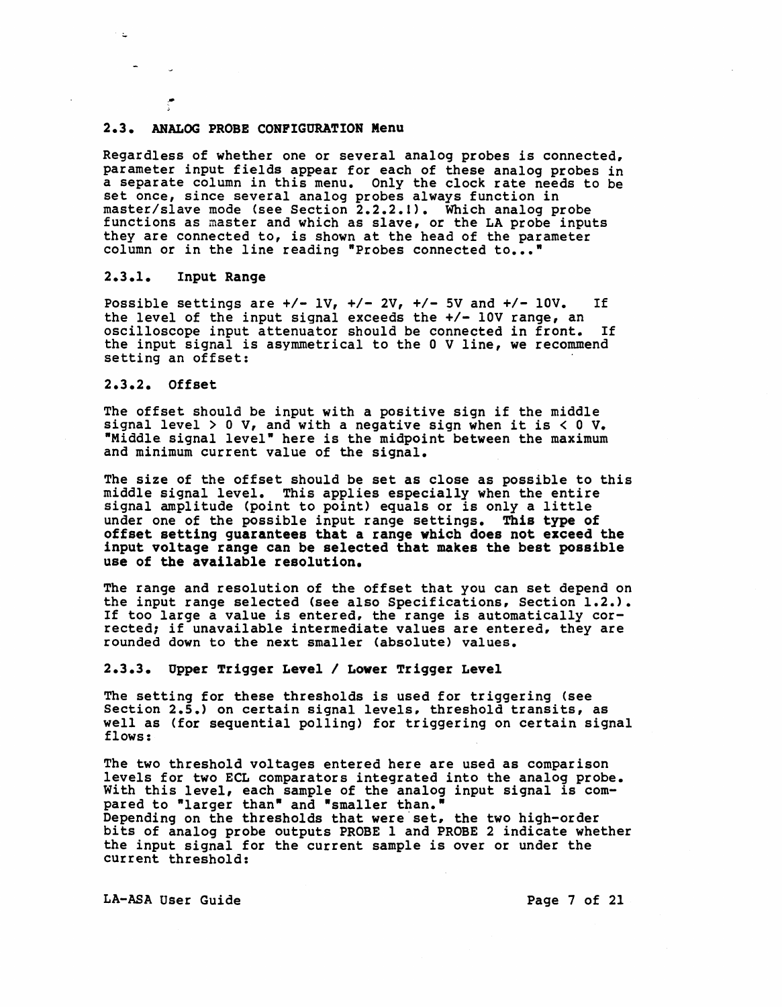#### 2.3. ANALOG PROBE CONPIGURATION Menu

Regardless of whether one or several analog probes is connected, parameter input fields appear for each of these analog probes in a separate column in this menu. Only the clock rate needs to be set once, since several analog probes always function in master/slave mode (see Section 2.2.2.1). Which analog probe functions as master and which as slave, or the LA probe inputs functions as master and which as slave, or the LA probe inputs they are connected to, is shown at the head of the parameter column or in the line reading "Probes connected to...'

#### $2.3.1.$ Input Range

Possible settings are  $+/- 1V$ ,  $+/- 2V$ ,  $+/- 5V$  and  $+/- 10V$ . If the level of the input signal exceeds the  $+/-$  10V range, an oscilloscope input attenuator should be connected in front. If the input signal is asymmetrical to the 0 V line, we recommend setting an offset:

#### 2.3.2. Offset

The offset should be input with a positive sign if the middle signal level > 0 V, and with a negative sign when it is  $<$  0 V. "Middle signal level" here is the midpoint between the maximum and minimum current value of the signal.

The size of the offset should be set as close as possible to this middle signal level. This applies especially when the entire signal amplitude (point to point) equals or is only a little under one of the possible input range settings. This type of offset setting guarantees that a range which does not exceed the input voltage range can be selected that makes the best possible use of the available resolution.

The range and resolution of the offset that you can set depend on the input range selected (see also Specifications, Section 1.2.). If too large a value is entered, the range is automatically corrected; if unavailable intermediate values are entered, they are rounded down to the next smaller (absolute) values.

#### 2.3.3. Opper Trigger Level I Lower Trigger Level

The setting for these thresholds is used for triggering (see Section 2.5.) on certain signal levels, threshold transits, as well as (for sequential polling) for triggering on certain signal flows:

The two threshold voltages entered here are used as comparison<br>levels for two ECL comparators integrated into the analog probe. With this level, each sample of the analog input signal is compared to "larger than" and "smaller than."<br>Depending on the thresholds that were set, the two high-order bits of analog probe outputs PROBE 1 and PROBE 2 indicate whether the input signal for the current sample is over or under the current threshold:

LA-ASA User Guide **Page 7 of 21**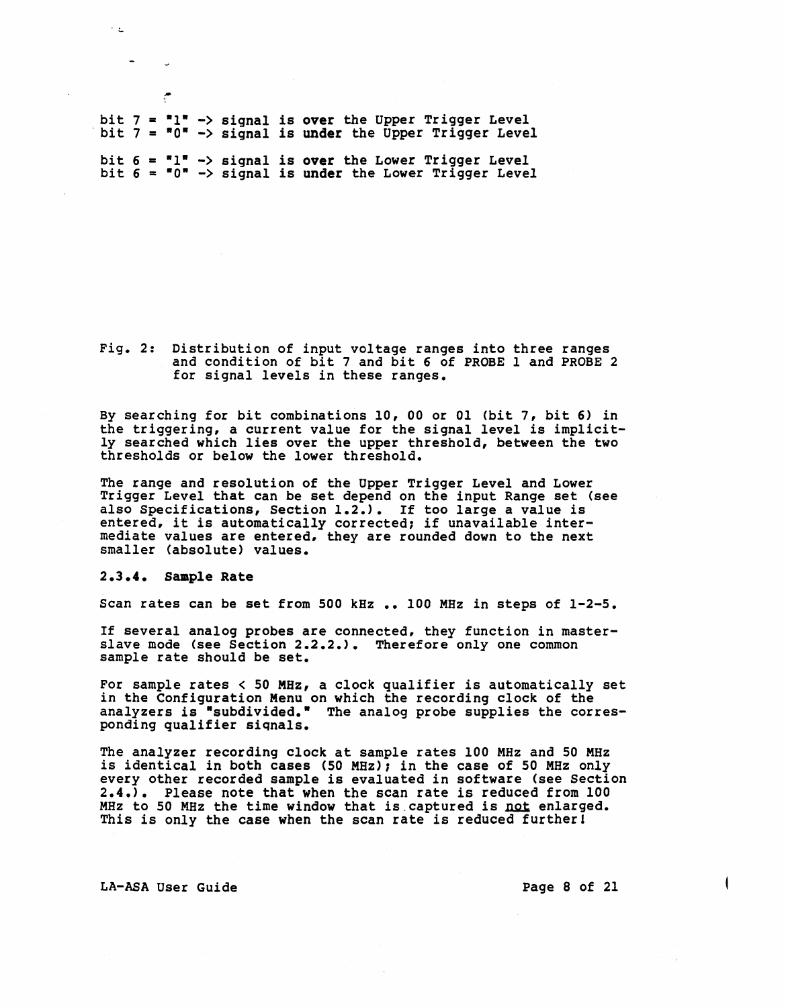bit  $7 = 1$ " -> signal is over the Upper Trigger Level bit  $7 = 10$ " -> signal is under the Upper Trigger Level bit  $6 = "1" \rightarrow signal$  is over the Lower Trigger Level bit  $6 = 6$ . Signal is under the Lower Trigger Level

Fig. 2: Distribution of input voltage ranges into three ranges and condition of bit 7 and bit 6 of PROBE 1 and PROBE 2 for signal levels in these ranges.

By searching for bit combinations 10, 00 or 01 (bit 7, bit 6) in the triggering, a current value for the signal level is implicit- ly searched which lies over the upper threshold, between the two thresholds or below the lower threshold.

The range and resolution of the Upper Trigger Level and Lower Trigger Level that can be set depend on the input Range set (see also Specifications, Section 1.2.). If too large a value is also specifications, section 1.2.,. If too large a value is<br>entered, it is automatically corrected; if unavailable intermediate values are entered. they are rounded down to the next smaller (absolute) values.

#### 2.3.4. Sample Rate

\*

 $\sim 10$ 

Scan rates can be set from 500 kHz .. 100 MHz in steps of 1-2-5.

If several analog probes are connected. they function in masterslave mode (see Section 2.2.2.). Therefore only one common sample rate should be set.

For sample rates  $< 50$  MHz, a clock qualifier is automatically set in the Configuration Menu on which the recording clock of the analyzers is "subdivided." The analog probe supplies the corresponding qualifier siqnals.

The analyzer recording clock at sample rates 100 MHz and 50 MHz is identical in both cases (50 MHz); in the case of 50 MHz only every other recorded sample is evaluated in software (see Section 2.4.). Please note that when the scan rate is reduced from 100 MHz to 50 MHz the time window that is captured is not enlarged. This is only the case when the scan rate is reduced further!

LA-ASA User Guide **Page 8 of 21**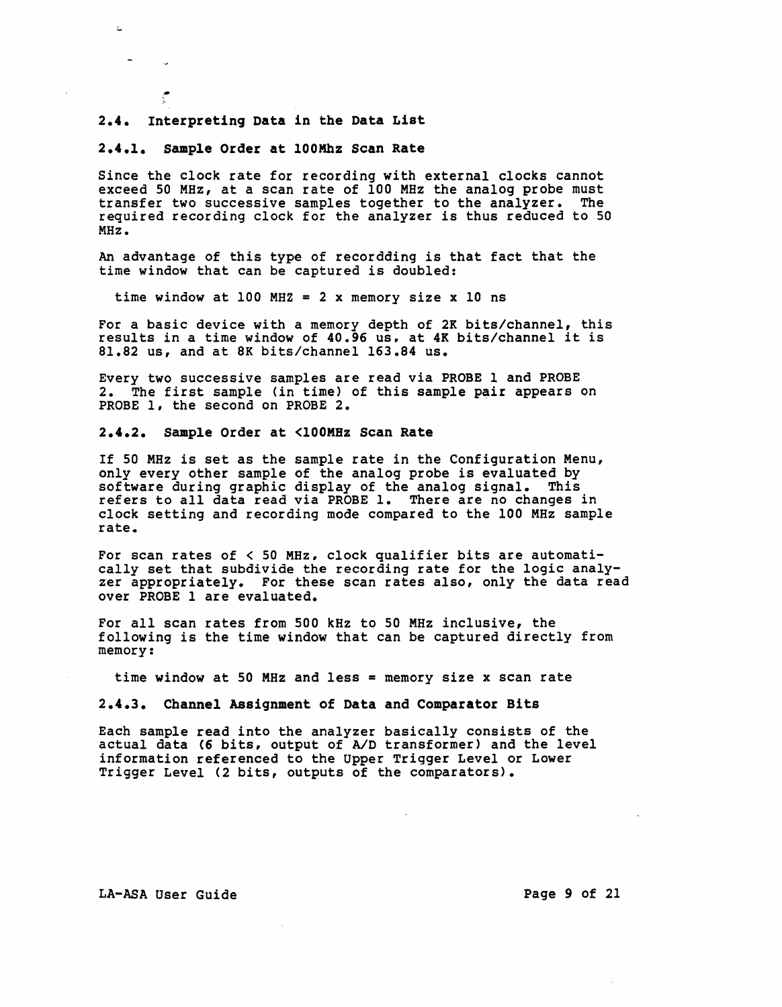#### 2.4. Interpreting Data in the Data List

 $\pm$ 

#### 2.4.1. Sample Order at 100Khz Scan Rate

Since the clock rate for recording with external clocks cannot exceed 50 MHz, at a scan rate of 100 MHz the analog probe must transfer two successive samples together to the analyzer. The required recording clock for the analyzer is thus reduced to 50 MHz.

An advantage of this type of recordding is that fact that the time window that can be captured is doubled:

time window at 100 MHZ = 2 x memory size x 10 ns

For a basic device with a memory depth of 2K bits/channel, this results in a time window of 40.96 us, at 4K bits/channel it is 81.82 us, and at 8K bits/channel 163.84 us.

Every two successive samples are read via PROBE 1 and PROBE 2. The first sample (in time) of this sample pair appears on PROBE 1, the second on PROBE 2.

#### 2.4.2. Sample Order at <100MHz Scan Rate

If 50 MHz is set as the sample rate in the Configuration Menu, only every other sample of the analog probe is evaluated by software during graphic display of the analog signal. This refers to *all* data read via PROBE 1. There are no changes in clock setting and recording mode compared to the 100 MHz sample rate.

For scan rates of  $\leq$  50 MHz, clock qualifier bits are automatically set that subdivide the recording rate for the logic analyzer appropriately. For these scan rates *also,* only the data read over PROBE I are evaluated.

For all scan rates from 500 kHz to 50 MHz inclusive, the following is the time window that can be captured directly from memory:

time window at 50 MHz and less = memory size x scan rate

2.4.3. Channel Assignment of Data and Comparator Bits

Each sample read into the analyzer basically consists of the actual data (6 bits, output of A/D transformer) and the level information referenced to the Upper Trigger Level or Lower Trigger Level (2 bits, outputs of the comparators).

LA-ASA User Guide **Page 9 of 21**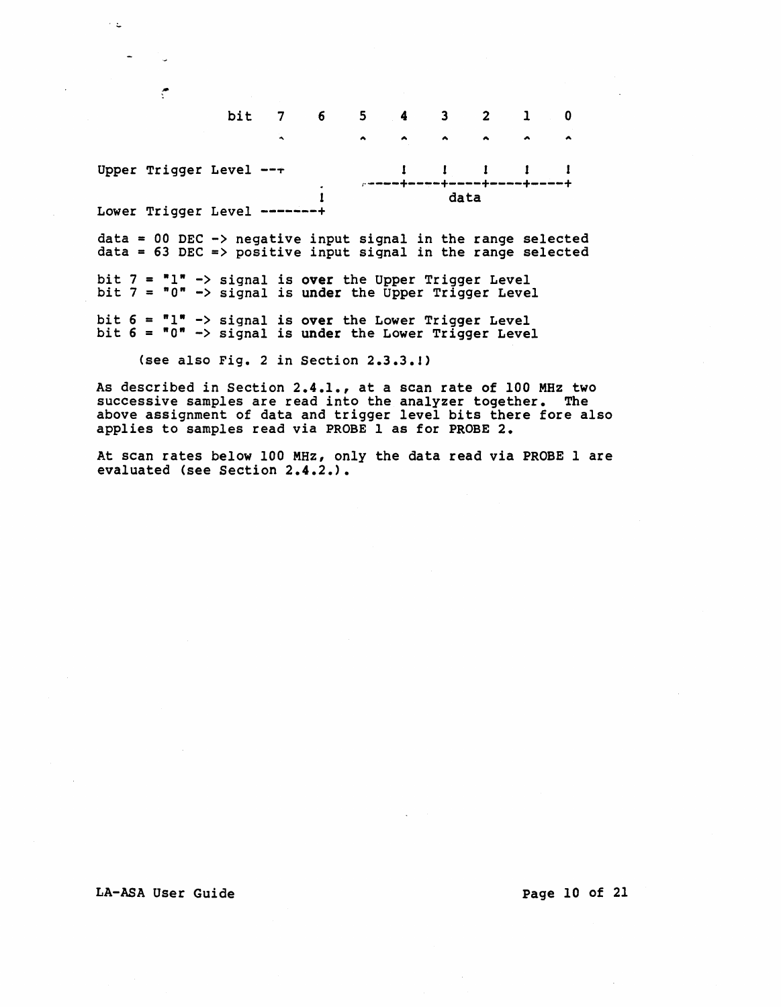bit 7 6 5 4 3 2 1 0  $\ddot{\phantom{a}}$  $\blacktriangle$  $\blacktriangle$  $\overline{\phantom{a}}$ Upper Trigger Level  $--+$  $\mathbf{I}$  $\mathbf{I}$  $\mathbf{I}$  $\mathbf{1}$  $\mathbf{I}$ r----+----+----+----+----+ data Lower Trigger Level -------+

 $data = 00$  DEC  $\rightarrow$  negative input signal in the range selected  $data = 63$  DEC => positive input signal in the range selected

bit  $7 = "1" \rightarrow signal$  is over the Upper Trigger Level bit  $7 = 0$ " -> signal is under the Upper Trigger Level

bit  $6 = "1" \rightarrow signal$  is over the Lower Trigger Level bit  $6 = 0$ " -> signal is under the Lower Trigger Level

(see also Fig. 2 in Section 2.3.3.1)

As described in Section 2.4.1., at a scan rate of 100 MHz two successive samples are read into the analyzer together. The above assignment of data and trigger level bits there fore also applies to samples read via PROBE 1 as for PROBE 2.

At scan rates below 100 MHz, only the data read via PROBE 1 are evaluated (see Section 2.4.2.).

#### LA-ASA User Guide **page 10 of 21**

 $\sim$  5.

۴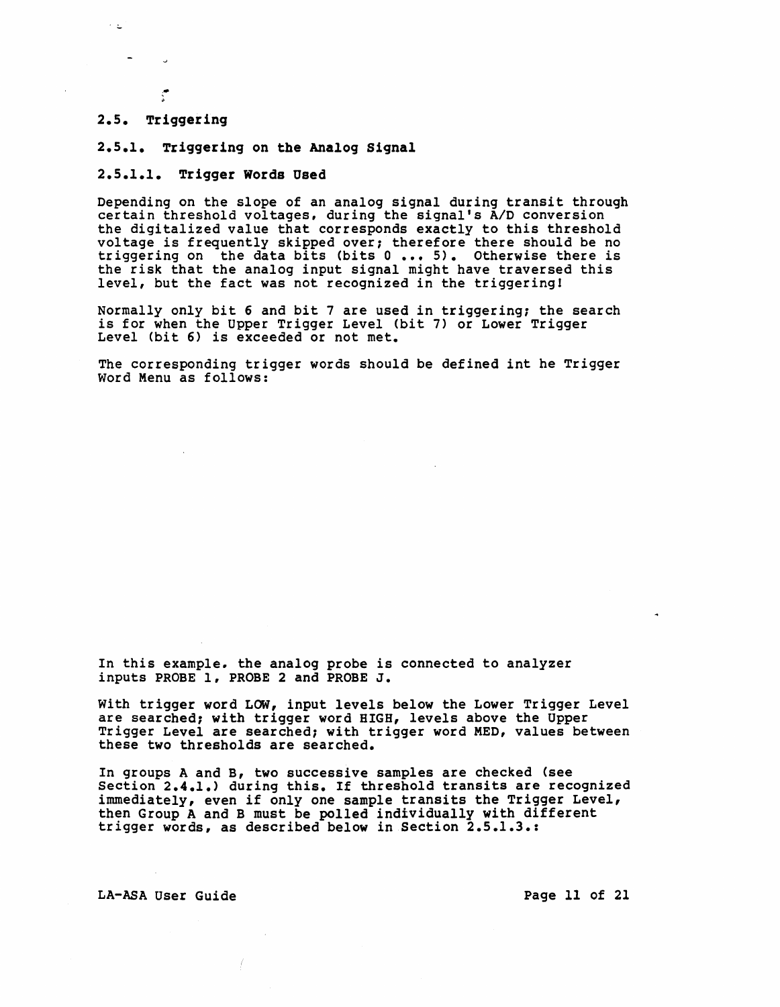#### 2.5. Triggering

 $\sim$   $\omega$ 

#### 2.5.1. Triggering on the Analog Signal

#### 2.5.1.1. Trigger Words Used

Depending on the slope of an analog signal during transit through certain threshold voltages, during the signal's A/D conversion the digitalized value that corresponds exactly to this threshold voltage is frequently skipped over, therefore there should be no triggering on the data bits (bits 0 ••• 5). Otherwise there is the risk that the analog input signal might have traversed this level, but the fact was not recognized in the triggering!

Normally only bit 6 and bit 7 are used in triggering, the search is for when the Upper Trigger Level (bit 7) or Lower Trigger Level (bit 6) is exceeded or not met.

The corresponding trigger words should be defined int he Trigger<br>Word Menu as follows:

In this example, the analog probe is connected to analyzer inputs PROBE 1, PROBE 2 and PROBE J.

With trigger word LOW, input levels below the Lower Trigger Level are searched; with trigger word HIGH, levels above the Upper Trigger Level are searched; with trigger word MED, values between these two thresholds are searched.

In groups A and B, two successive samples are checked (see Section 2.4.1.) during this. If threshold transits are recognized immediately, even if only one sample transits the Trigger Level, then Group A and B must be polled individually with different trigger words, as described below in Section 2.5.1.3.:

LA-ASA User Guide **Page 11 of 21**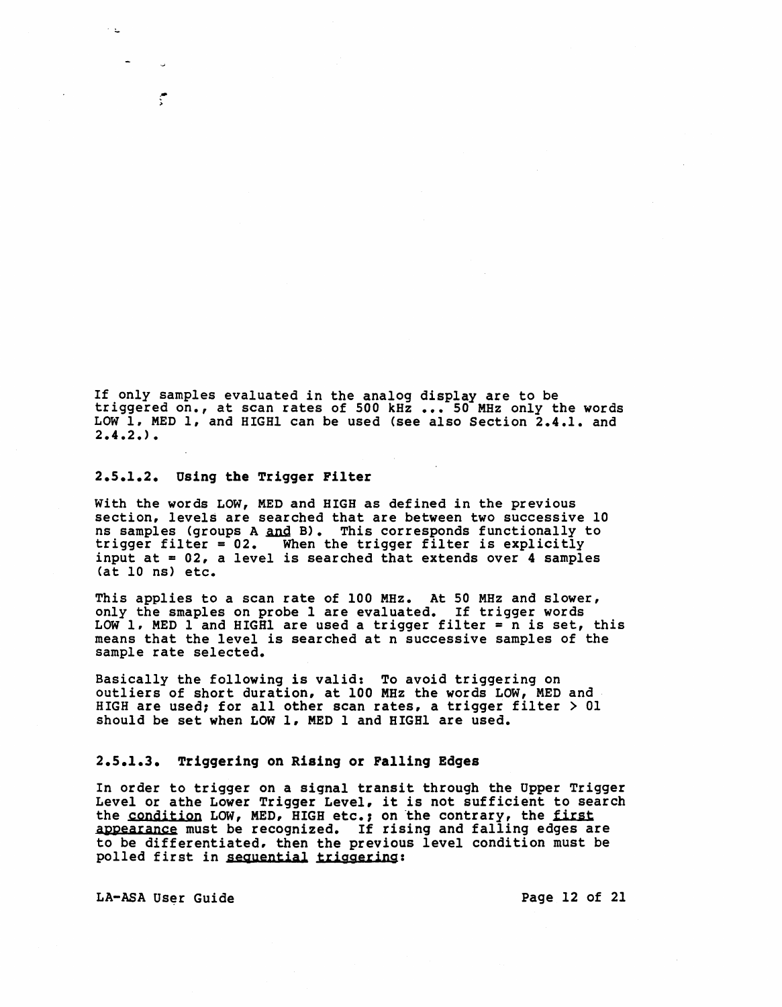If only samples evaluated in the analog display are to be triggered on., at scan rates of 500 kHz ••• 50 MHz only the words LOW 1. MED 1, and HIGHI can be used (see also Section 2.4.1. and  $2.4.2.$ ).

#### 2.5.1.2. Using the Trigger Filter

.- >

With the words LOW, MED and HIGH as defined in the previous section, levels are searched that are between two successive 10 ns samples (groups A and B). This corresponds functionally to is samples tyroups A and b). This corresponds runctronally the trigger filter is explicitly input at = 02, a level *is* searched that extends over 4 samples (at 10 ns) etc.

This applies to a scan rate of 100 MHz. At 50 MHz and slower, only the smaples on probe 1 are evaluated. If trigger words LOW 1. MED 1 and HIGH1 are used a trigger filter =  $n$  is set, this means that the level is searched at n successive samples of the sample rate selected.

Basically the following is valid: To avoid triggering on outliers of short duration, at 100 MHz the words LOW, MED and HIGH are used; for all other scan rates, a trigger filter > 01 should be set when LOW 1, MED 1 and HIGHI are used.

#### 2.5.1.3. Triggering on Rising or Falling Edges

In order to trigger on a signal transit through the Upper Trigger Level or athe Lower Trigger Level, it is not sufficient to search the condition LOW, MED, HIGH etc.; on the contrary, the first appearance must be recognized. If rising and falling edges are to be differentiated. then the previous level condition must be polled first *in* seguential triggering:

LA-ASA User Guide Page 12 of 21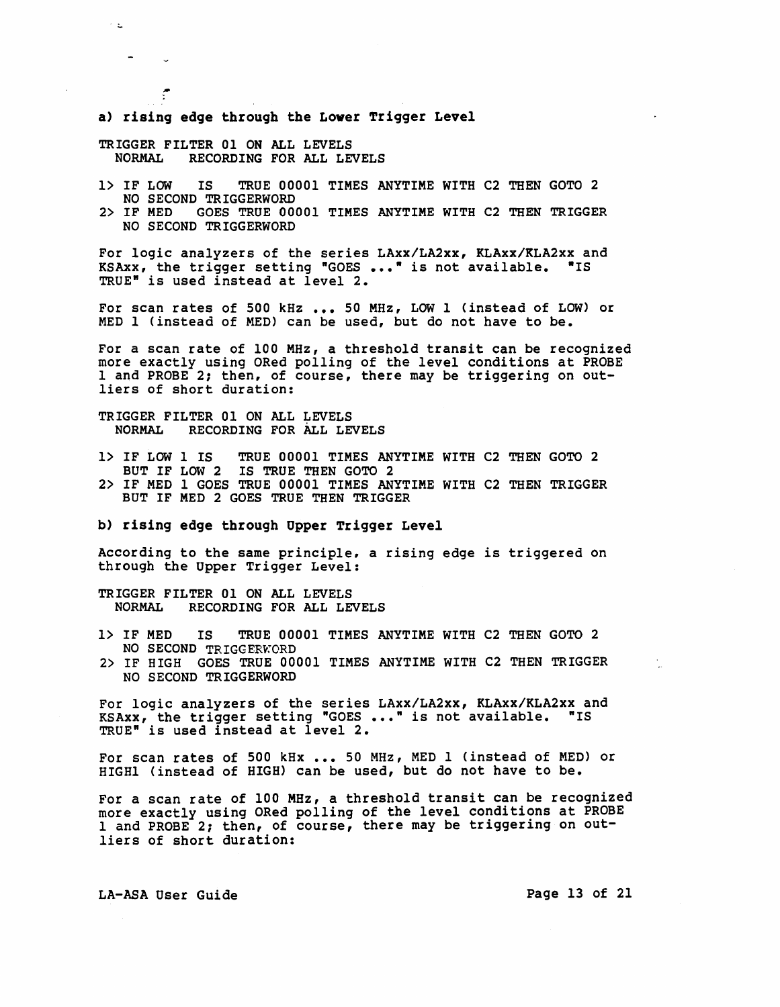a) rising edge through the Lower Trigger Level

TRIGGER FILTER 01 ON ALL LEVELS<br>NORMAL RECORDING FOR ALL LET RECORDING FOR ALL LEVELS

 $\sim$   $\omega$ 

 $\frac{1}{2}$ 

1> IF LOW IS TRUE 00001 TIMES ANYTIME WITH C2 THEN GOTO 2

NO SECOND TRIGGERWORD<br>2> IF MED GOES TRUE 00 2> IF MED GOES TRUE 00001 TIMES ANYTIME WITH C2 THEN TRIGGER NO SECOND TRIGGERWORD

For logic analyzers of the series LAxx/LA2xx, KLAxx/KLA2xx and KSAxx, the trigger setting "GOES ..." is not available. "IS TRUE" is used instead at level 2.

For scan rates of 500 kHz ... 50 MHz, LOW 1 (instead of LOW) or MED 1 (instead of MED) can be used, but do not have to be.

For a scan rate of 100 MHz, a threshold transit can be recognized more exactly using ORed polling of the level conditions at PROBE 1 and PROBE 2; then, of course, there may be triggering on outliers of short duration:

TRIGGER FILTER 01 ON ALL LEVELS<br>NORMAL RECORDING FOR ALL LE RECORDING FOR ALL LEVELS

- 1> IF LOW 1 IS TRUE 00001 TIMES ANYTIME WITH C2 THEN GOTO 2 BUT IF LOW 2 IS TRUE THEN GOTO 2
- 2> IF MED 1 GOES TRUE 00001 TIMES ANYTIME WITH C2 THEN TRIGGER BUT IF MED 2 GOES TRUE THEN TRIGGER
- b) rising edge through Opper Trigger Level

According to the same principle, a rising edge is triggered on through the Upper Trigger Level:

TRIGGER FILTER 01 ON ALL LEVELS<br>NORMAL RECORDING FOR ALL LE RECORDING FOR ALL LEVELS

- 1> IF MED IS TRUE 00001 TIMES ANYTIME WITH C2 THEN GOTO 2 NO SECOND TRIGGERWORD
- 2> IF HIGH GOES TRUE 00001 TIMES ANYTIME WITH C2 THEN TRIGGER NO SECOND TRIGGERWORD

For logic analyzers of the series LAxx/LA2xx, KLAxx/KLA2xx and KSAxx, the trigger setting "GOES ..." is not available. "IS TRUE" is used instead at level 2.

For scan rates of 500 kHx ... 50 MHz, MED 1 (instead of MED) or HIGHI (instead of HIGH) can be used, but do not have to be.

For a scan rate of 100 MHz, a threshold transit can be recognized more exactly using ORed polling of the level conditions at PROBE 1 and PROBE 2; then, of course, there may be triggering on outliers of short duration:

LA-ASA User Guide Page 13 of 21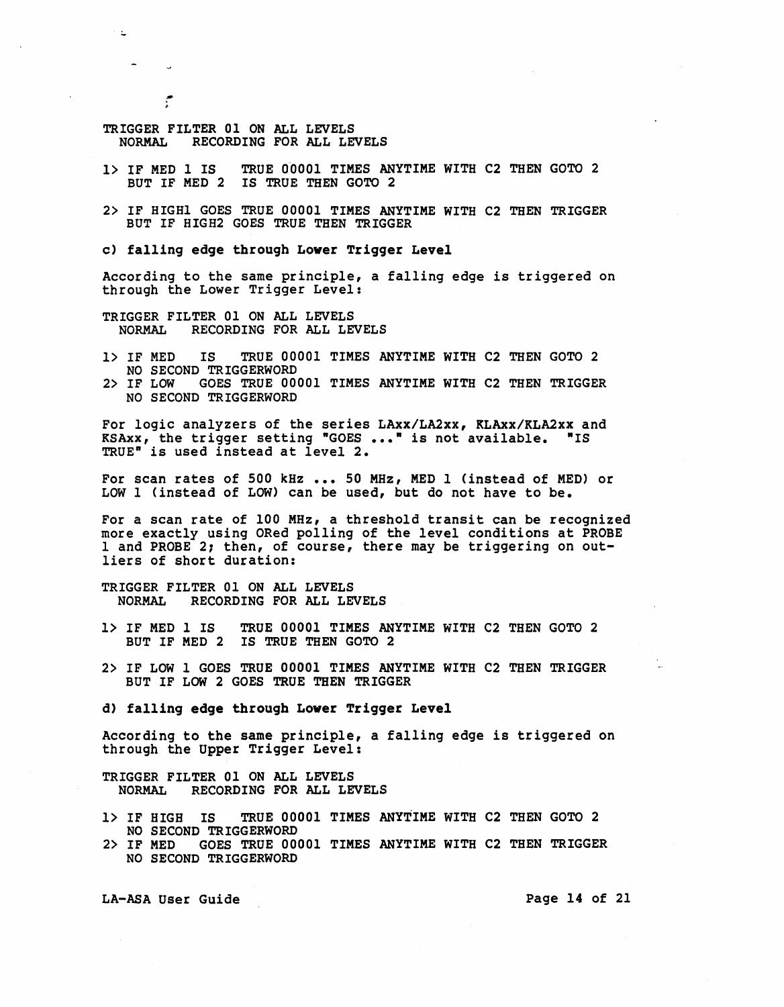TRIGGER FILTER 01 ON ALL LEVELS<br>NORMAL RECORDING FOR ALL LE RECORDING FOR ALL LEVELS

:..

۴

- 1> IF MED 1 IS TRUE 0'0001 TIMES ANYTIME WITH C2 THEN GOTO 2 BUT IF MED 2 IS TRUE THEN GOTO 2
- 2> IF HIGHI GOES TRUE 00001 TIMES ANYTIME WITH C2 THEN TRIGGER BUT IF HIGH2 GOES TRUE THEN TRIGGER

c) falling edge through Lower Trigger Level

According to the same principle, a falling edge is triggered on through the Lower Trigger Level:

TRIGGER FILTER 01 ON ALL LEVELS<br>NORMAL RECORDING FOR ALL LE RECORDING FOR ALL LEVELS

- 1> IF MED IS TRUE 00001 TIMES ANYTIME WITH C2 THEN GOTO 2 NO SECOND TRIGGERWORD
- 2> IF LOW GOES TRUE 00001 TIMES ANYTIME WITH C2 THEN TRIGGER NO SECOND TRIGGERWORD

For logic analyzers of the series LAxx/LA2xx, KLAxx/KLA2xx and KSAxx, the trigger setting "GOES ..." is not available. "IS TRUE" is used instead at level 2.

For scan rates of 500 kHz ••• 50 MHz, MED 1 (instead of MED) or LOW 1 (instead of LOW) can be used, but do not have to be.

For a scan rate of 100 MHz, a threshold transit can be recognized more exactly using ORed polling of the level conditions at PROBE 1 and PROBE 2; then, of course, there may be triggering on outliers of short duration:

TRIGGER FILTER 01 ON ALL LEVELS NORMAL RECORDING FOR ALL LEVELS

- 1> IF MED 1 IS TRUE 00001 TIMES ANYTIME WITH C2 THEN GOTO 2 BUT IF MED 2 IS TRUE THEN GOTO 2
- 2> IF LOW 1 GOES TRUE 00001 TIMES ANYTIME WITH C2 THEN TRIGGER BUT IF LOW 2 GOES TRUE THEN TRIGGER

d) falling edge through Lower Trigger Level

According to the same principle, a falling edge is triggered on through the Upper Trigger Level:

TRIGGER FILTER 01 ON ALL LEVELS<br>NORMAL RECORDING FOR ALL LE RECORDING FOR ALL LEVELS

- 1> IF HIGH IS TRUE 00001 TIMES ANYTIME WITH C2 THEN GOTO 2 NO SECOND TRIGGERWORD
- 2> IF MED GOES TRUE 00001 TIMES ANYTIME WITH C2 THEN TRIGGER NO SECOND TRIGGERWORD

LA-ASA User Guide **Page 14 of 21**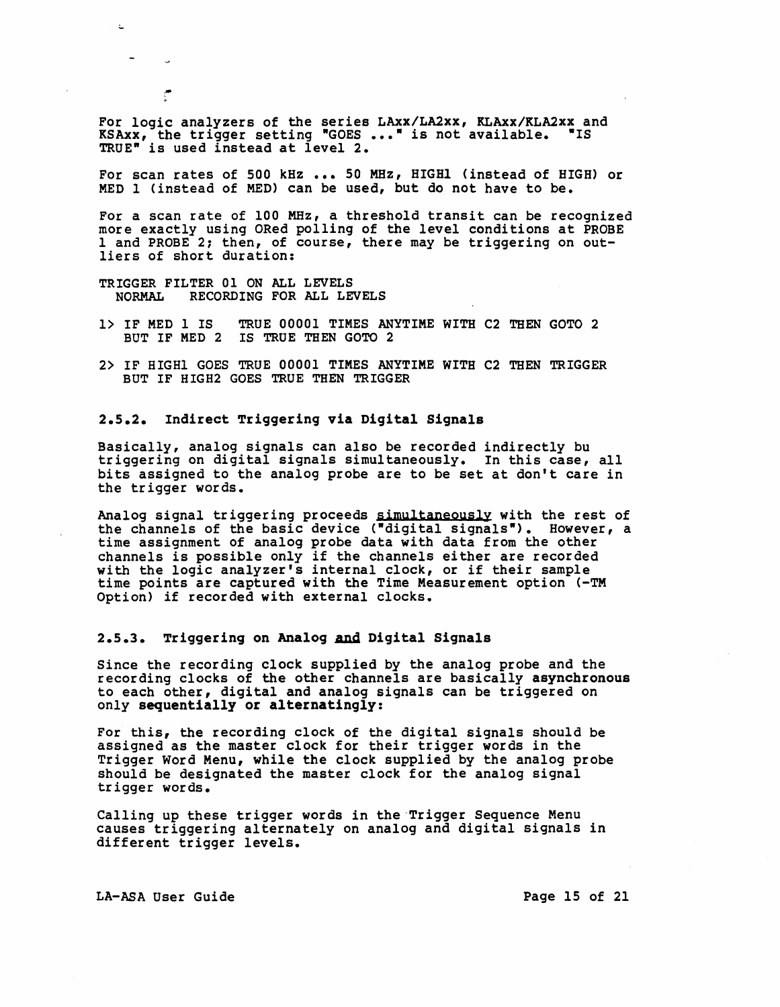For logic analyzers of the series LAxx/LA2xx, KLAxx/KLA2xx and KSAxx, the trigger setting "GOES ..." is not available. "IS TRUE" is used instead at level 2.

For scan rates of 500 kHz ... 50 MHz, HIGHl (instead of HIGH) or MED 1 (instead of MED) can be used, but do not have to be.

For a scan rate of 100 MHz, a threshold transit can be recognized more exactly using ORed polling of the level conditions at PROBE 1 and PROBE 2; then, of course, there may be triggering on outliers of short duration:

TRIGGER FILTER 01 ON ALL LEVELS<br>NORMAL RECORDING FOR ALL LE RECORDING FOR ALL LEVELS

- 1> IF MED 1 IS TRUE 00001 TIMES ANYTIME WITH C2 THEN GOTO 2 BUT IF MED 2 IS TRUE THEN GOTO 2
- 2> IF HIGHI GOES TRUE 00001 TIMES ANYTIME WITH C2 THEN TRIGGER BUT IF HIGH2 GOES TRUE THEN TRIGGER

#### 2.5.2. Indirect Triggering via Digital Signals

Basically, analog signals can also be recorded indirectly bu triggering on digital signals simultaneously. In this case, all bits assigned to the analog probe are to be set at don't care in the trigger words.

Analog signal triggering proceeds simultaneously with the rest of the channels of the basic device ("digital signals"). However, a time assignment of analog probe data with data from the other channels is possible only if the channels either are recorded with the logic analyzer's internal clock, or if their sample time points are captured with the Time Measurement option (-TM Option) if recorded with external clocks.

#### 2.5.3. Triggering on Analog And Digital Signals

Since the recording clock supplied by the analog probe and the recording clocks of the other channels are basically asynchronous to each other, digital and analog signals can be triggered on only sequentially or alternatingly:

For this, the recording clock of the digital signals should be assigned as the master clock for their trigger words in the Trigger Word Menu, while the clock supplied by the analog probe should be designated the master clock for the analog signal trigger words.

Calling up these trigger words in the-Trigger Sequence Menu causes triggering alternately on analog and digital Signals in different trigger levels.

LA-ASA User Guide Page 15 of 21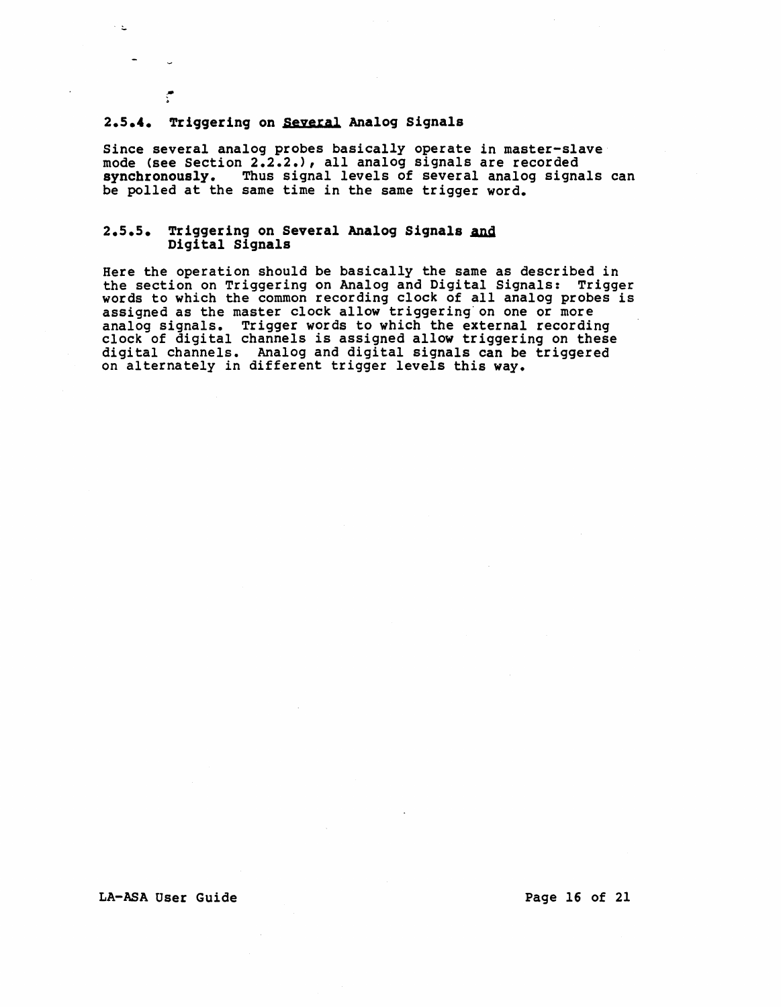#### 2.5.4. Triggering on Several Analog Signals

 $\sim \Delta$ 

Since several analog probes basically operate in master-slave mode (see Section 2.2.2.), all analog signals are recorded synchronously. Thus signal levels of several analog signals can be polled at the same time in the same trigger word.

### 2.5.5. Triggering on Several Analog Signals and Digital Signals

Here the operation should be basically the same as described in the section on Triggering on Analog and Digital Signals: Trigger words to which the common recording clock of all analog probes is assigned as the master clock allow triggering on one or more<br>analog signals. Trigger words to which the external recording clock of digital channels is assigned allow triggering on these digital channels. Analog and digital signals can be triggered on alternately in different trigger levels this way.

#### LA-ASA User Guide **Page 16 of 21**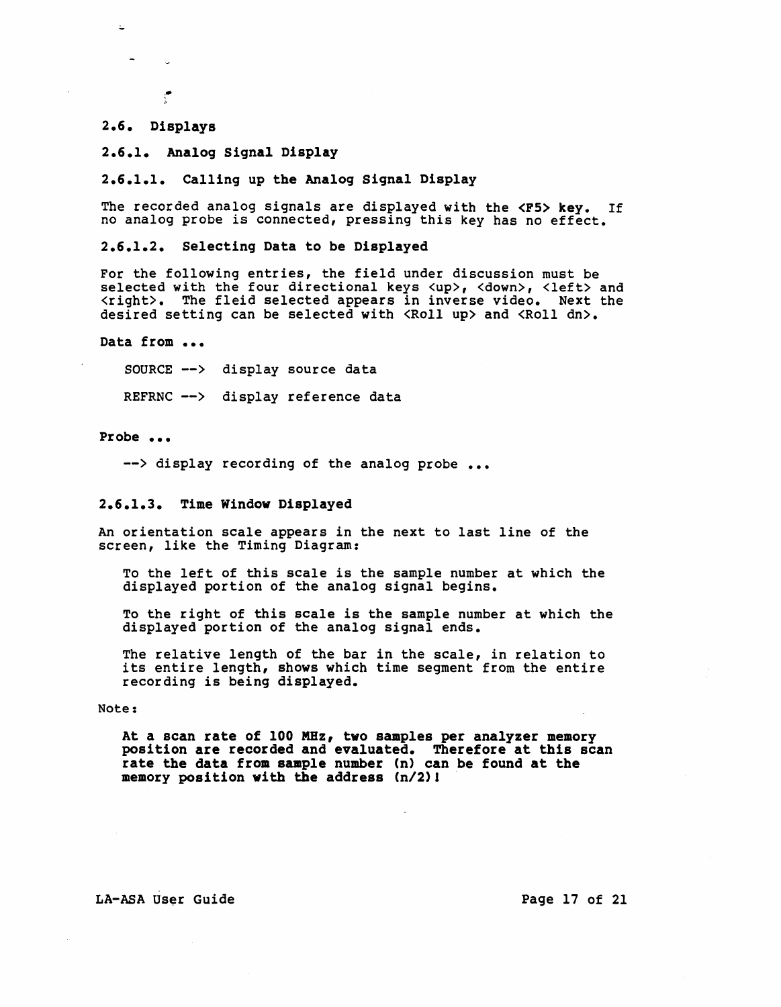#### 2.6. Displays

L

2.6.1. Analog Signal Display

2.6.1.1. Calling up the Analog Signal Display

The recorded analog signals are displayed with the <F5> key. If no analog probe is connected, pressing this key has no effect.

2.6.1.2. Selecting Data to be Displayed

For the following entries, the field under discussion must be selected with the four directional keys <up>, <down>, <left> and <right>. The fleid selected appears in inverse video. Next the desired setting can be selected with <Roll up> and <Roll dn>.

Data from ...

SOURCE --> display source data

REFRNC --> display reference data

Probe ...

--> display recording of the analog probe ...

#### 2.6.1.3. Time Window Displayed

An orientation scale appears in the next to last line of the screen, like the Timing Diagram:

TO the left of this scale is the sample number at which the displayed portion of the analog signal begins.

To the right of this scale is the sample number at which the displayed portion of the analog signal ends.

The relative length of the bar in the scale, in relation to its entire length, shows which time segment from the entire recording is being displayed.

Note:

At a scan rate of 100 MHz, two samples per analyzer memory position are recorded and evaluated. Therefore at this scan rate the data from sample number (n) can be found at the memory position with the address *(n/2)l* 

#### LA-ASA User Guide **Page 17 of 21**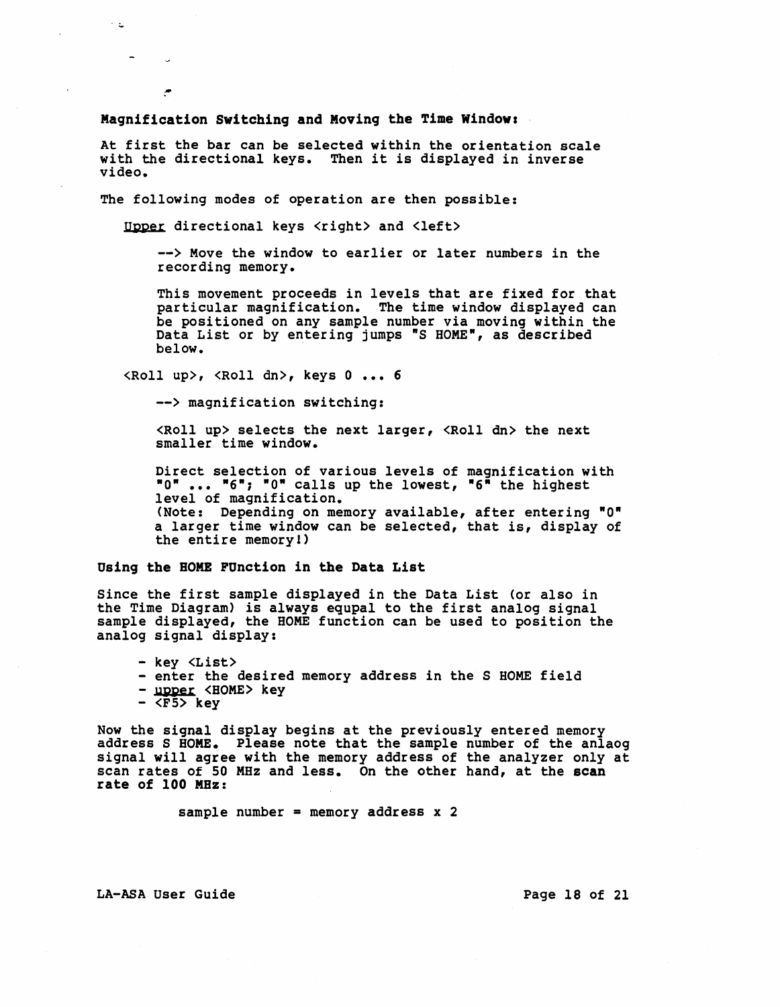Magnification Switching and Moving the Time Window:

At first the bar can be selected within the orientation scale with the directional keys. Then it is displayed in inverse video.

The following modes of operation are then possible:

Upper directional keys <right> and <left>

--> Move the window to earlier or later numbers in the recording memory.

This movement proceeds in levels that are fixed for that particular magnification. The time window displayed can be positioned on any sample number via moving within the Data List or by entering jumps "S HOME", as described below. .

 $\langle \text{Roll up} \rangle$ ,  $\langle \text{Roll dn} \rangle$ , keys 0 ... 6

--> magnification switching:

 $\langle \text{Roll up} \rangle$  selects the next larger,  $\langle \text{Roll dn} \rangle$  the next smaller time window.

Direct selection of various levels of magnification with "0" ... "6"; "0" calls up the lowest, "6" the highest<br>level of magnification. (Note: Depending on memory available, after entering  $"0"$ a larger time window can be selected, that is, display of the entire memoryl)

#### Using the BOME FUnction in the Data List

Since the first sample displayed in the Data List (or also in<br>the Time Diagram) is always equpal to the first analog signal sample displayed, the HOME function can be used to position the analog signal display:

- key <List><br>- enter the desired memory address in the S HOME field<br>- upper <HOME> key<br>- <F5> key

ن د

 $\bullet$ 

Now the signal display begins at the previously entered memory address S HOME. Please note that the sample number of the anlaog signal will agree with the memory address of the analyzer only at scan rates of 50 MHz and less. On the other hand, at the scan rate of 100 MHz:

sample number = memory address  $x$  2

LA-ASA User Guide **Page 18 of 21**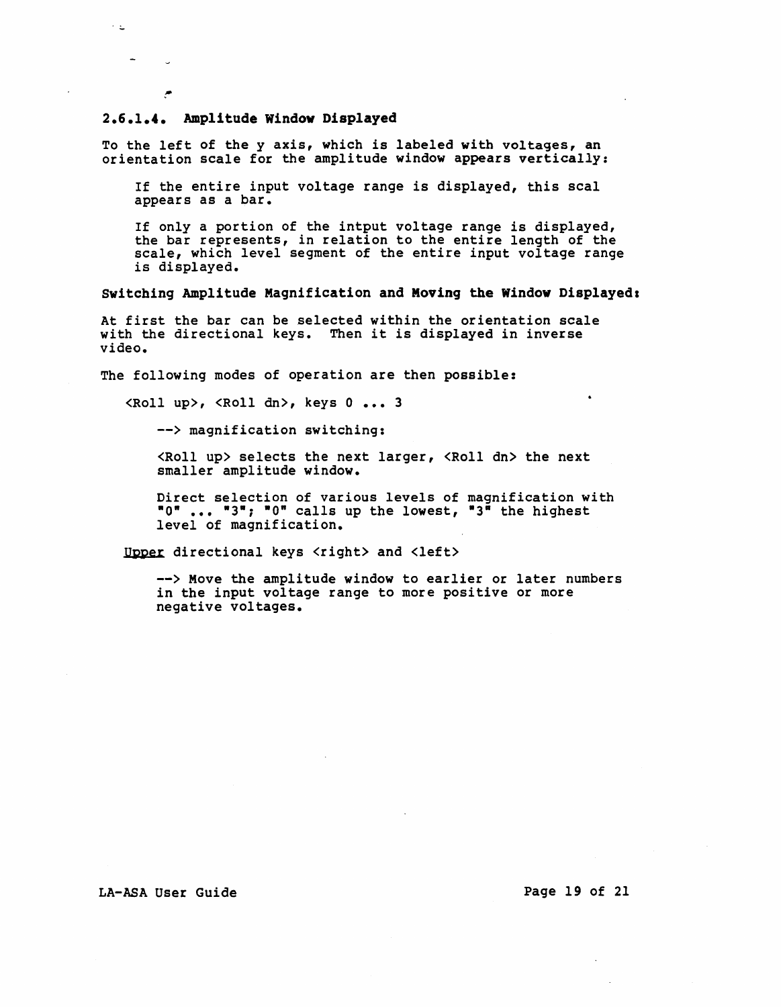#### 2.6.1.4. Amplitude Window Displayed

 $\sim$   $\omega$ 

 $\overline{\mathcal{C}}$ 

To the left of the y axis, which *is* labeled with voltages, an orientation scale for the amplitude window appears vertically:

If the entire input voltage range is displayed, this seal appears as a bar.

If only a portion of the intput voltage range is displayed, the bar represents, in relation to the entire length of the scale, which level segment of the entire input voltage range is displayed.

#### Switching Amplitude Magnification and Moving the Window Displayed:

At first the bar can be selected within the orientation scale with the directional keys. Then it is displayed in inverse video.

The following modes of operation are then possible:

<Roll up>, <Roll dn>, keys 0 ••• 3

--> magnification switching:

<Roll up> selects the next larger, <Roll dn> the next smaller amplitude window.

Direct selection of various levels of magnification with "0" ••• "3"; "0· calls up the lowest, "3" the highest level of magnification.

Upper directional keys <right> and <left>

--> Move the amplitude window to earlier or later numbers in the input voltage range to more positive or more negative voltages.

LA-ASA User Guide **Page 19 of 21**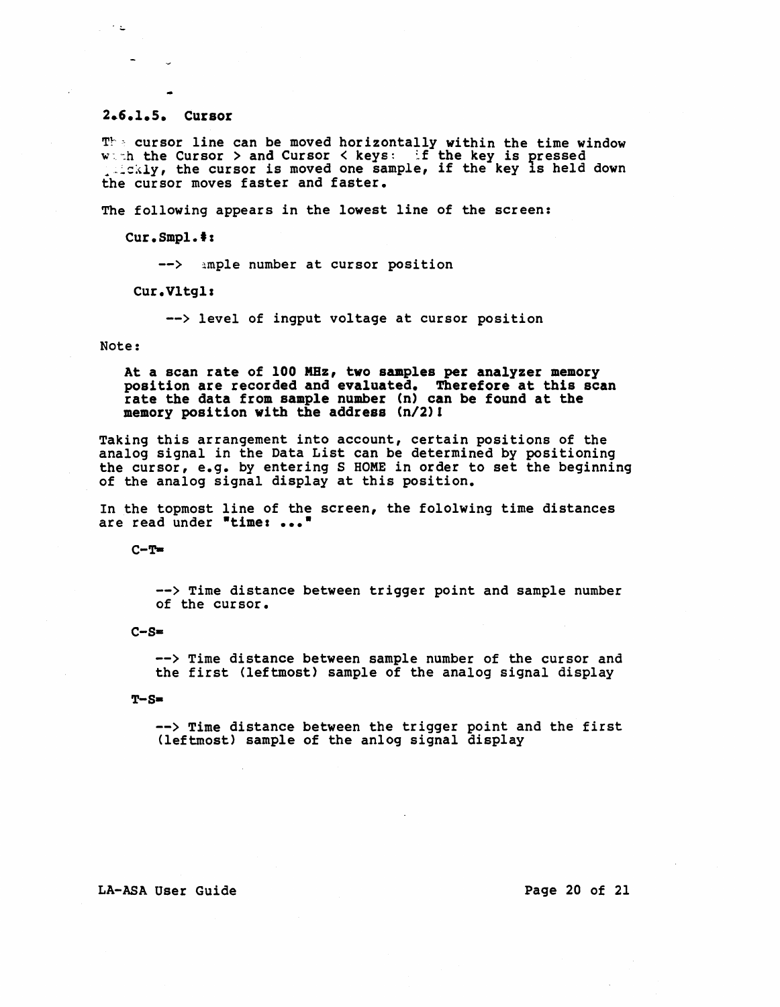#### 2.6.1.5. Cursor

 $T^{\mathbb{N}}$  = cursor line can be moved horizontally within the time window w -h the Cursor > and Cursor < keys: if the key is pressed ... the cursor , and cursor where the key is pressed down the cursor moves faster and faster.

The following appears in the lowest line of the screen:

Cur.Smpl.':

--> ample number at cursor position

Cur.Vltgl:

--> level of ingput voltage at cursor position

Note:

 $\mathcal{L} \subset \mathcal{L}$  .

At a scan rate of 100 MHz, two samples per analyzer memory position are recorded and evaluated. Therefore at this scan rate the data from sample number (n) can be found at the memory position with the address *(n/2)!* 

Taking this arrangement into account, certain positions of the analog signal in the Data List can be determined by positioning the cursor, e.g. by entering S HOME in order to set the beginning of the analog signal display at this position.

In the topmost line of the screen, the fololwing time distances are read under "time: ..."

 $C-T$ =

--> Time distance between trigger point and sample number of the cursor.

 $C-S=$ 

--> Time distance between sample number of the cursor and the first (leftmost) sample of the analog signal display

 $T-S=$ 

--> Time distance between the trigger point and the first (leftmost) sample of the anlog signal display

#### LA-ASA User Guide **Page 20 of 21**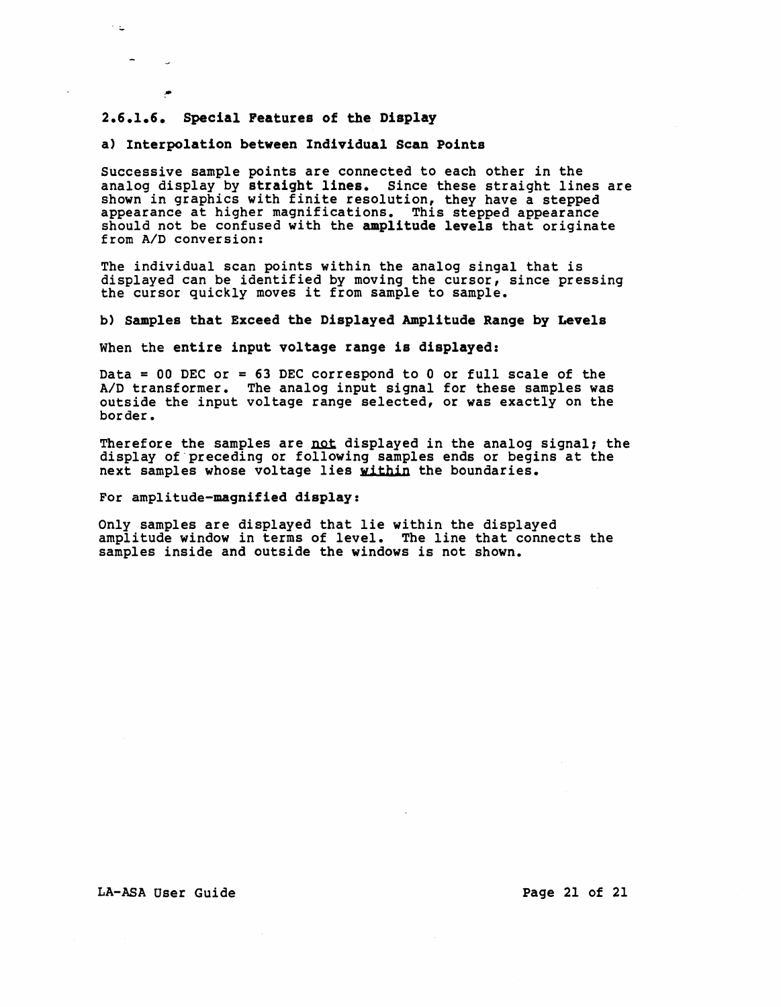### 2.6.1.6. Special Peatures of the Display

 $\sim$   $\omega$ 

#### a) Interpolation between Individual Scan Points

Successive sample points are connected to each other in the analog display by straight lines. Since these straight lines are shown in graphics with finite resolution, they have a stepped appearance at higher magnifications. This stepped appearance should not be confused with the amplitude levels that originate from *AID* conversion:

The individual scan points within the analog singa1 that is displayed can be identified by moving the cursor, since pressing<br>the cursor quickly moves it from sample to sample.

b) Samples that Exceed the Displayed Amplitude Range by Levels

When the entire input voltage range is displayed:

Data = 00 DEC or = 63 DEC correspond to 0 or full scale of the A/D transformer. The analog input signal for these samples was outside the input voltage range selected, or was exactly on the border.

Therefore the samples are not displayed in the analog signal; the display of "preceding or following samples ends or begins at the next samples whose voltage lies within the boundaries.

For amplitude-magnified display:

Only samples are displayed that lie within the displayed amplitude window in terms of level. The line that connects the samples inside and outside the windows is not shown.

#### LA-ASA User Guide **Page 21 of 21**